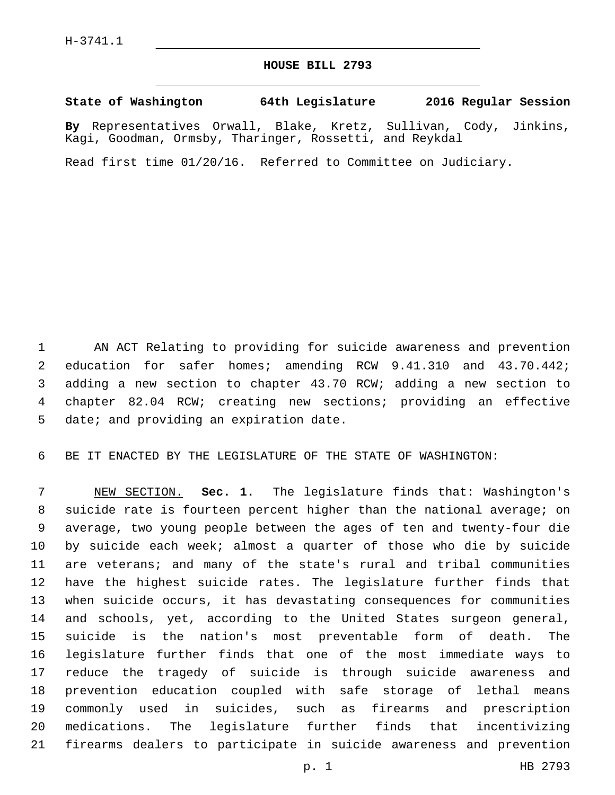## **HOUSE BILL 2793**

## **State of Washington 64th Legislature 2016 Regular Session**

**By** Representatives Orwall, Blake, Kretz, Sullivan, Cody, Jinkins, Kagi, Goodman, Ormsby, Tharinger, Rossetti, and Reykdal

Read first time 01/20/16. Referred to Committee on Judiciary.

 AN ACT Relating to providing for suicide awareness and prevention education for safer homes; amending RCW 9.41.310 and 43.70.442; adding a new section to chapter 43.70 RCW; adding a new section to chapter 82.04 RCW; creating new sections; providing an effective 5 date; and providing an expiration date.

BE IT ENACTED BY THE LEGISLATURE OF THE STATE OF WASHINGTON:

 NEW SECTION. **Sec. 1.** The legislature finds that: Washington's suicide rate is fourteen percent higher than the national average; on average, two young people between the ages of ten and twenty-four die by suicide each week; almost a quarter of those who die by suicide are veterans; and many of the state's rural and tribal communities have the highest suicide rates. The legislature further finds that when suicide occurs, it has devastating consequences for communities and schools, yet, according to the United States surgeon general, suicide is the nation's most preventable form of death. The legislature further finds that one of the most immediate ways to reduce the tragedy of suicide is through suicide awareness and prevention education coupled with safe storage of lethal means commonly used in suicides, such as firearms and prescription medications. The legislature further finds that incentivizing firearms dealers to participate in suicide awareness and prevention

p. 1 HB 2793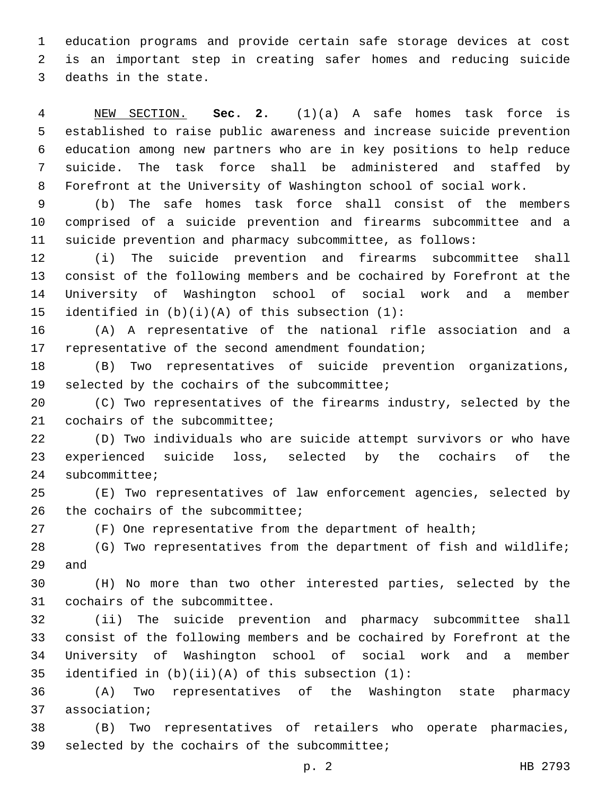education programs and provide certain safe storage devices at cost is an important step in creating safer homes and reducing suicide 3 deaths in the state.

 NEW SECTION. **Sec. 2.** (1)(a) A safe homes task force is established to raise public awareness and increase suicide prevention education among new partners who are in key positions to help reduce suicide. The task force shall be administered and staffed by Forefront at the University of Washington school of social work.

 (b) The safe homes task force shall consist of the members comprised of a suicide prevention and firearms subcommittee and a suicide prevention and pharmacy subcommittee, as follows:

 (i) The suicide prevention and firearms subcommittee shall consist of the following members and be cochaired by Forefront at the University of Washington school of social work and a member 15 identified in  $(b)(i)(A)$  of this subsection  $(1)$ :

 (A) A representative of the national rifle association and a representative of the second amendment foundation;

 (B) Two representatives of suicide prevention organizations, 19 selected by the cochairs of the subcommittee;

 (C) Two representatives of the firearms industry, selected by the 21 cochairs of the subcommittee;

 (D) Two individuals who are suicide attempt survivors or who have experienced suicide loss, selected by the cochairs of the 24 subcommittee;

 (E) Two representatives of law enforcement agencies, selected by the cochairs of the subcommittee;

(F) One representative from the department of health;

28 (G) Two representatives from the department of fish and wildlife; 29 and

 (H) No more than two other interested parties, selected by the 31 cochairs of the subcommittee.

 (ii) The suicide prevention and pharmacy subcommittee shall consist of the following members and be cochaired by Forefront at the University of Washington school of social work and a member 35 identified in  $(b)(ii)(A)$  of this subsection  $(1)$ :

 (A) Two representatives of the Washington state pharmacy association;37

 (B) Two representatives of retailers who operate pharmacies, 39 selected by the cochairs of the subcommittee;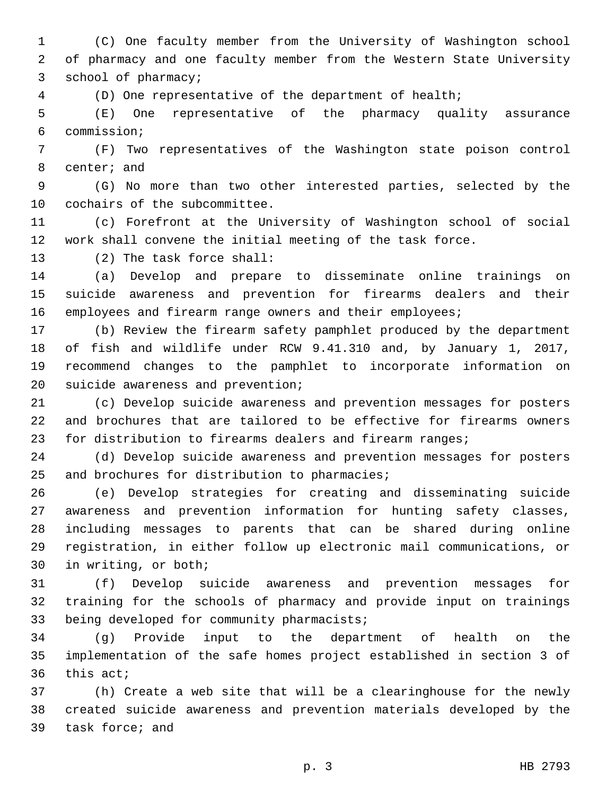(C) One faculty member from the University of Washington school of pharmacy and one faculty member from the Western State University 3 school of pharmacy;

(D) One representative of the department of health;

 (E) One representative of the pharmacy quality assurance commission;6

 (F) Two representatives of the Washington state poison control 8 center; and

 (G) No more than two other interested parties, selected by the 10 cochairs of the subcommittee.

 (c) Forefront at the University of Washington school of social work shall convene the initial meeting of the task force.

13 (2) The task force shall:

 (a) Develop and prepare to disseminate online trainings on suicide awareness and prevention for firearms dealers and their 16 employees and firearm range owners and their employees;

 (b) Review the firearm safety pamphlet produced by the department of fish and wildlife under RCW 9.41.310 and, by January 1, 2017, recommend changes to the pamphlet to incorporate information on 20 suicide awareness and prevention;

 (c) Develop suicide awareness and prevention messages for posters and brochures that are tailored to be effective for firearms owners for distribution to firearms dealers and firearm ranges;

 (d) Develop suicide awareness and prevention messages for posters 25 and brochures for distribution to pharmacies;

 (e) Develop strategies for creating and disseminating suicide awareness and prevention information for hunting safety classes, including messages to parents that can be shared during online registration, in either follow up electronic mail communications, or 30 in writing, or both;

 (f) Develop suicide awareness and prevention messages for training for the schools of pharmacy and provide input on trainings 33 being developed for community pharmacists;

 (g) Provide input to the department of health on the implementation of the safe homes project established in section 3 of this act;

 (h) Create a web site that will be a clearinghouse for the newly created suicide awareness and prevention materials developed by the 39 task force; and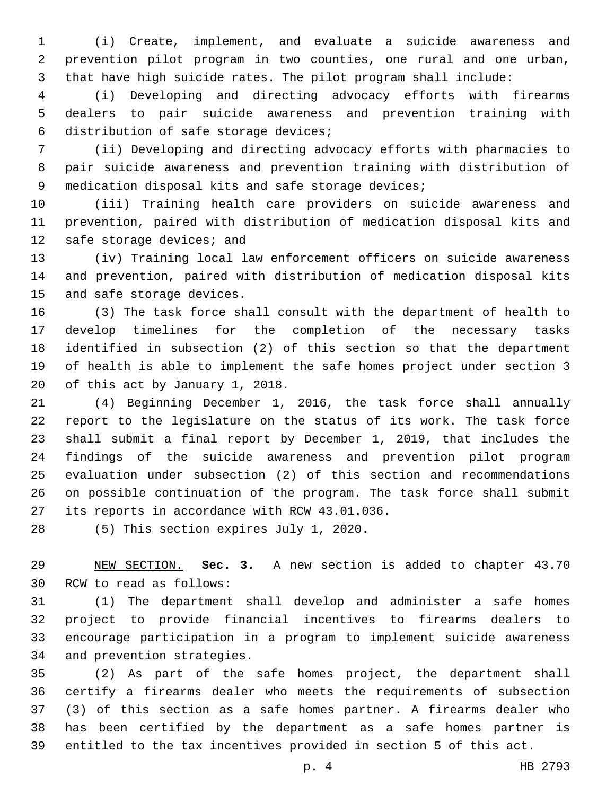(i) Create, implement, and evaluate a suicide awareness and prevention pilot program in two counties, one rural and one urban, that have high suicide rates. The pilot program shall include:

 (i) Developing and directing advocacy efforts with firearms dealers to pair suicide awareness and prevention training with 6 distribution of safe storage devices;

 (ii) Developing and directing advocacy efforts with pharmacies to pair suicide awareness and prevention training with distribution of 9 medication disposal kits and safe storage devices;

 (iii) Training health care providers on suicide awareness and prevention, paired with distribution of medication disposal kits and 12 safe storage devices; and

 (iv) Training local law enforcement officers on suicide awareness and prevention, paired with distribution of medication disposal kits 15 and safe storage devices.

 (3) The task force shall consult with the department of health to develop timelines for the completion of the necessary tasks identified in subsection (2) of this section so that the department of health is able to implement the safe homes project under section 3 20 of this act by January 1, 2018.

 (4) Beginning December 1, 2016, the task force shall annually report to the legislature on the status of its work. The task force shall submit a final report by December 1, 2019, that includes the findings of the suicide awareness and prevention pilot program evaluation under subsection (2) of this section and recommendations on possible continuation of the program. The task force shall submit 27 its reports in accordance with RCW 43.01.036.

28 (5) This section expires July 1, 2020.

 NEW SECTION. **Sec. 3.** A new section is added to chapter 43.70 30 RCW to read as follows:

 (1) The department shall develop and administer a safe homes project to provide financial incentives to firearms dealers to encourage participation in a program to implement suicide awareness 34 and prevention strategies.

 (2) As part of the safe homes project, the department shall certify a firearms dealer who meets the requirements of subsection (3) of this section as a safe homes partner. A firearms dealer who has been certified by the department as a safe homes partner is entitled to the tax incentives provided in section 5 of this act.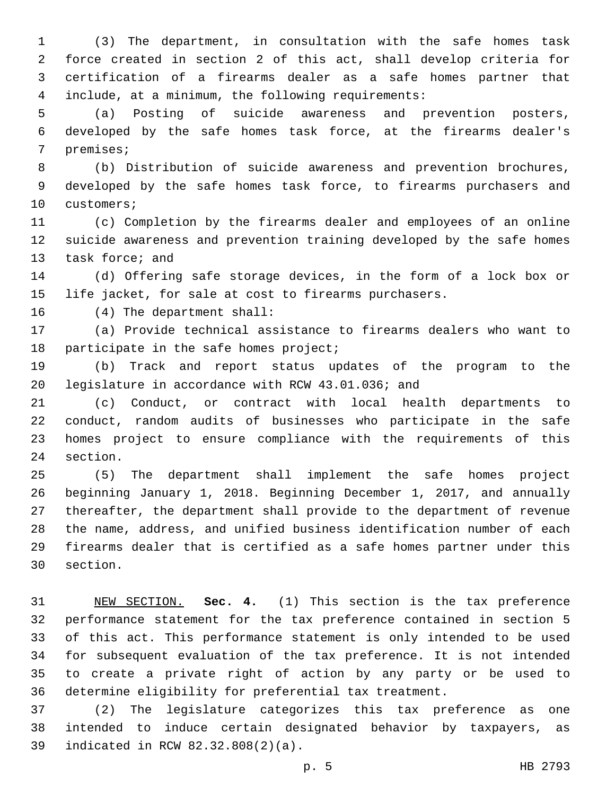(3) The department, in consultation with the safe homes task force created in section 2 of this act, shall develop criteria for certification of a firearms dealer as a safe homes partner that include, at a minimum, the following requirements:4

 (a) Posting of suicide awareness and prevention posters, developed by the safe homes task force, at the firearms dealer's 7 premises;

 (b) Distribution of suicide awareness and prevention brochures, developed by the safe homes task force, to firearms purchasers and 10 customers;

 (c) Completion by the firearms dealer and employees of an online suicide awareness and prevention training developed by the safe homes 13 task force; and

 (d) Offering safe storage devices, in the form of a lock box or life jacket, for sale at cost to firearms purchasers.

16 (4) The department shall:

 (a) Provide technical assistance to firearms dealers who want to 18 participate in the safe homes project;

 (b) Track and report status updates of the program to the 20 legislature in accordance with RCW 43.01.036; and

 (c) Conduct, or contract with local health departments to conduct, random audits of businesses who participate in the safe homes project to ensure compliance with the requirements of this 24 section.

 (5) The department shall implement the safe homes project beginning January 1, 2018. Beginning December 1, 2017, and annually thereafter, the department shall provide to the department of revenue the name, address, and unified business identification number of each firearms dealer that is certified as a safe homes partner under this 30 section.

 NEW SECTION. **Sec. 4.** (1) This section is the tax preference performance statement for the tax preference contained in section 5 of this act. This performance statement is only intended to be used for subsequent evaluation of the tax preference. It is not intended to create a private right of action by any party or be used to determine eligibility for preferential tax treatment.

 (2) The legislature categorizes this tax preference as one intended to induce certain designated behavior by taxpayers, as 39 indicated in RCW 82.32.808(2)(a).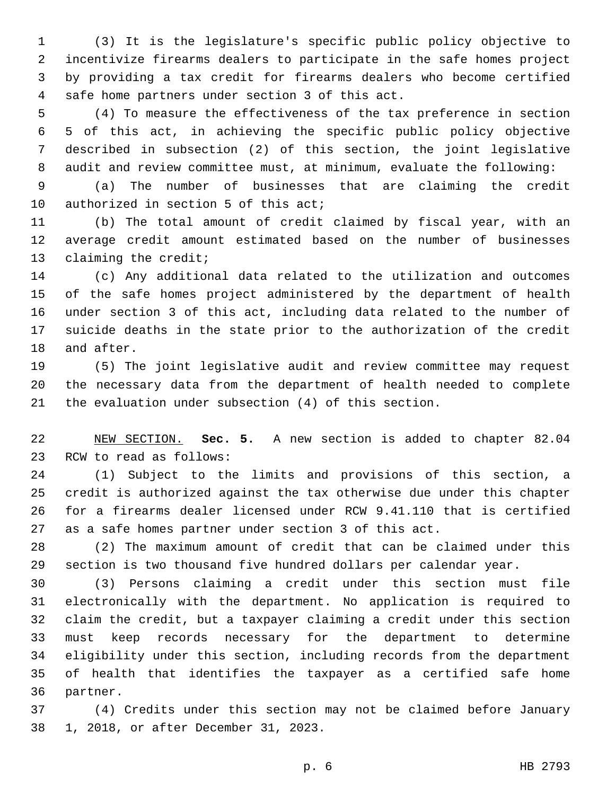(3) It is the legislature's specific public policy objective to incentivize firearms dealers to participate in the safe homes project by providing a tax credit for firearms dealers who become certified 4 safe home partners under section 3 of this act.

 (4) To measure the effectiveness of the tax preference in section 5 of this act, in achieving the specific public policy objective described in subsection (2) of this section, the joint legislative audit and review committee must, at minimum, evaluate the following:

 (a) The number of businesses that are claiming the credit 10 authorized in section 5 of this  $acti$ 

 (b) The total amount of credit claimed by fiscal year, with an average credit amount estimated based on the number of businesses 13 claiming the credit;

 (c) Any additional data related to the utilization and outcomes of the safe homes project administered by the department of health under section 3 of this act, including data related to the number of suicide deaths in the state prior to the authorization of the credit 18 and after.

 (5) The joint legislative audit and review committee may request the necessary data from the department of health needed to complete the evaluation under subsection (4) of this section.

 NEW SECTION. **Sec. 5.** A new section is added to chapter 82.04 23 RCW to read as follows:

 (1) Subject to the limits and provisions of this section, a credit is authorized against the tax otherwise due under this chapter for a firearms dealer licensed under RCW 9.41.110 that is certified as a safe homes partner under section 3 of this act.

 (2) The maximum amount of credit that can be claimed under this section is two thousand five hundred dollars per calendar year.

 (3) Persons claiming a credit under this section must file electronically with the department. No application is required to claim the credit, but a taxpayer claiming a credit under this section must keep records necessary for the department to determine eligibility under this section, including records from the department of health that identifies the taxpayer as a certified safe home 36 partner.

 (4) Credits under this section may not be claimed before January 38 1, 2018, or after December 31, 2023.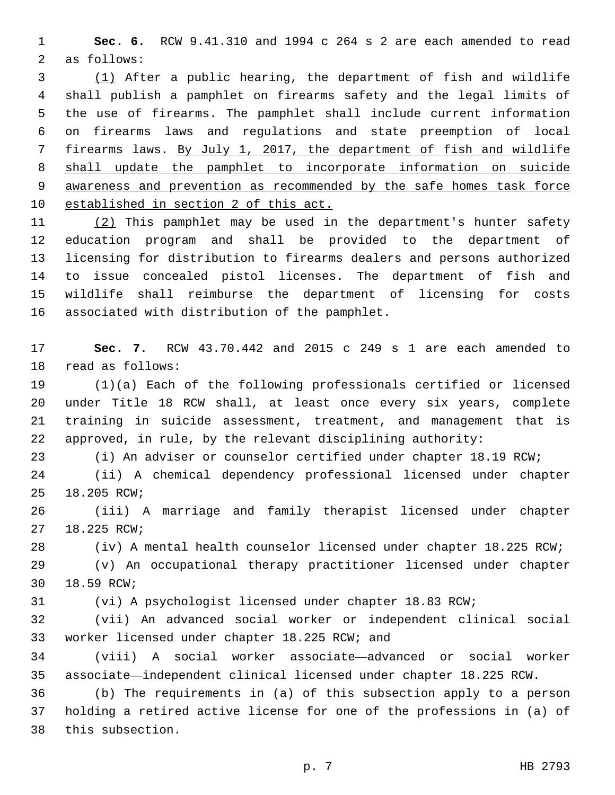**Sec. 6.** RCW 9.41.310 and 1994 c 264 s 2 are each amended to read 2 as follows:

 (1) After a public hearing, the department of fish and wildlife shall publish a pamphlet on firearms safety and the legal limits of the use of firearms. The pamphlet shall include current information on firearms laws and regulations and state preemption of local firearms laws. By July 1, 2017, the department of fish and wildlife shall update the pamphlet to incorporate information on suicide awareness and prevention as recommended by the safe homes task force established in section 2 of this act.

11 (2) This pamphlet may be used in the department's hunter safety education program and shall be provided to the department of licensing for distribution to firearms dealers and persons authorized to issue concealed pistol licenses. The department of fish and wildlife shall reimburse the department of licensing for costs 16 associated with distribution of the pamphlet.

 **Sec. 7.** RCW 43.70.442 and 2015 c 249 s 1 are each amended to 18 read as follows:

 (1)(a) Each of the following professionals certified or licensed under Title 18 RCW shall, at least once every six years, complete training in suicide assessment, treatment, and management that is approved, in rule, by the relevant disciplining authority:

(i) An adviser or counselor certified under chapter 18.19 RCW;

 (ii) A chemical dependency professional licensed under chapter 25 18.205 RCW;

 (iii) A marriage and family therapist licensed under chapter 27 18.225 RCW;

(iv) A mental health counselor licensed under chapter 18.225 RCW;

 (v) An occupational therapy practitioner licensed under chapter 30 18.59 RCW;

(vi) A psychologist licensed under chapter 18.83 RCW;

 (vii) An advanced social worker or independent clinical social 33 worker licensed under chapter 18.225 RCW; and

 (viii) A social worker associate—advanced or social worker associate—independent clinical licensed under chapter 18.225 RCW.

 (b) The requirements in (a) of this subsection apply to a person holding a retired active license for one of the professions in (a) of 38 this subsection.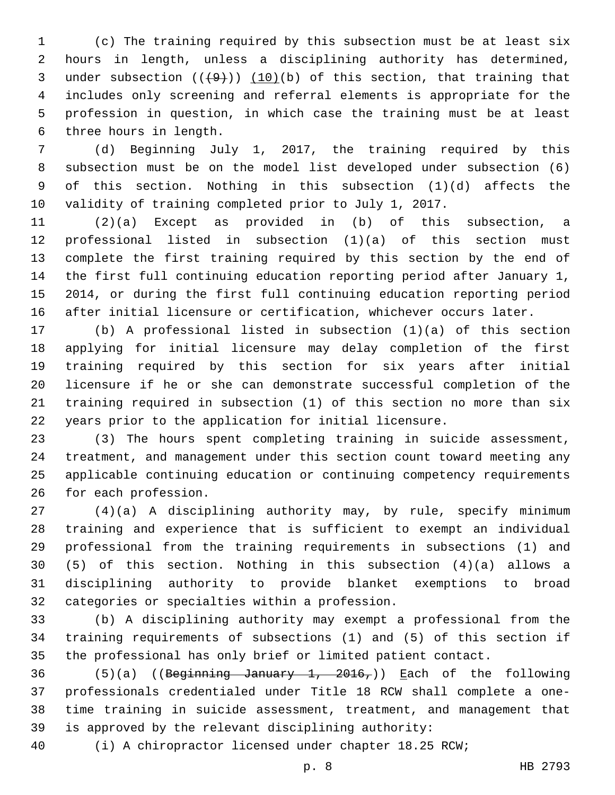(c) The training required by this subsection must be at least six hours in length, unless a disciplining authority has determined, 3 under subsection  $((+9))$   $(10)(b)$  of this section, that training that includes only screening and referral elements is appropriate for the profession in question, in which case the training must be at least 6 three hours in length.

 (d) Beginning July 1, 2017, the training required by this subsection must be on the model list developed under subsection (6) of this section. Nothing in this subsection (1)(d) affects the validity of training completed prior to July 1, 2017.

 (2)(a) Except as provided in (b) of this subsection, a professional listed in subsection (1)(a) of this section must complete the first training required by this section by the end of the first full continuing education reporting period after January 1, 2014, or during the first full continuing education reporting period after initial licensure or certification, whichever occurs later.

 (b) A professional listed in subsection (1)(a) of this section applying for initial licensure may delay completion of the first training required by this section for six years after initial licensure if he or she can demonstrate successful completion of the training required in subsection (1) of this section no more than six years prior to the application for initial licensure.

 (3) The hours spent completing training in suicide assessment, treatment, and management under this section count toward meeting any applicable continuing education or continuing competency requirements 26 for each profession.

 (4)(a) A disciplining authority may, by rule, specify minimum training and experience that is sufficient to exempt an individual professional from the training requirements in subsections (1) and (5) of this section. Nothing in this subsection (4)(a) allows a disciplining authority to provide blanket exemptions to broad 32 categories or specialties within a profession.

 (b) A disciplining authority may exempt a professional from the training requirements of subsections (1) and (5) of this section if the professional has only brief or limited patient contact.

 (5)(a) ((Beginning January 1, 2016,)) Each of the following professionals credentialed under Title 18 RCW shall complete a one- time training in suicide assessment, treatment, and management that is approved by the relevant disciplining authority:

(i) A chiropractor licensed under chapter 18.25 RCW;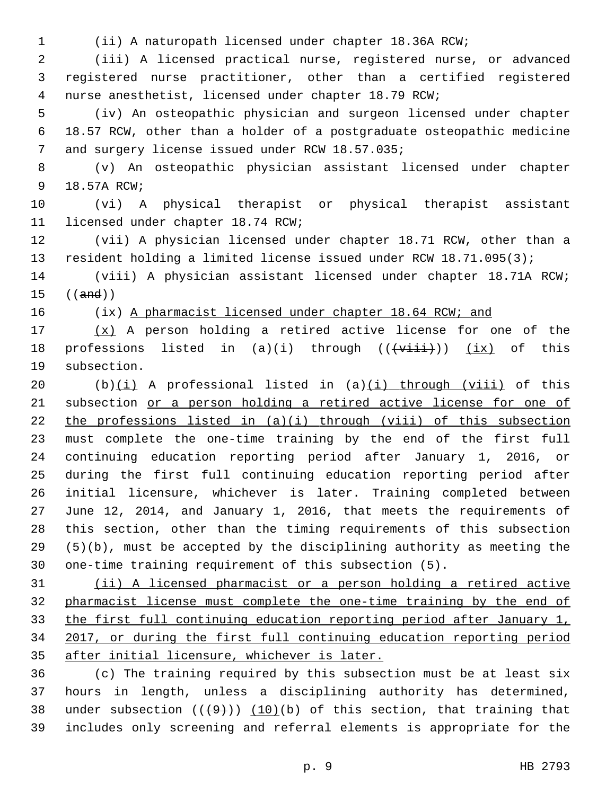(ii) A naturopath licensed under chapter 18.36A RCW;

 (iii) A licensed practical nurse, registered nurse, or advanced registered nurse practitioner, other than a certified registered nurse anesthetist, licensed under chapter 18.79 RCW;

 (iv) An osteopathic physician and surgeon licensed under chapter 18.57 RCW, other than a holder of a postgraduate osteopathic medicine 7 and surgery license issued under RCW 18.57.035;

 (v) An osteopathic physician assistant licensed under chapter 9 18.57A RCW;

 (vi) A physical therapist or physical therapist assistant 11 licensed under chapter 18.74 RCW;

 (vii) A physician licensed under chapter 18.71 RCW, other than a resident holding a limited license issued under RCW 18.71.095(3);

 (viii) A physician assistant licensed under chapter 18.71A RCW; ((and))

(ix) A pharmacist licensed under chapter 18.64 RCW; and

17  $(x)$  A person holding a retired active license for one of the 18 professions listed in  $(a)(i)$  through  $((\overline{v_i^i},\overline{i_j^i}))$  (ix) of this 19 subsection.

 $(b)(i)$  A professional listed in  $(a)(i)$  through (viii) of this subsection or a person holding a retired active license for one of the professions listed in (a)(i) through (viii) of this subsection must complete the one-time training by the end of the first full continuing education reporting period after January 1, 2016, or during the first full continuing education reporting period after initial licensure, whichever is later. Training completed between June 12, 2014, and January 1, 2016, that meets the requirements of this section, other than the timing requirements of this subsection (5)(b), must be accepted by the disciplining authority as meeting the one-time training requirement of this subsection (5).

 (ii) A licensed pharmacist or a person holding a retired active pharmacist license must complete the one-time training by the end of 33 the first full continuing education reporting period after January 1, 2017, or during the first full continuing education reporting period after initial licensure, whichever is later.

 (c) The training required by this subsection must be at least six hours in length, unless a disciplining authority has determined, 38 under subsection  $((+9))$   $(10)$  (b) of this section, that training that includes only screening and referral elements is appropriate for the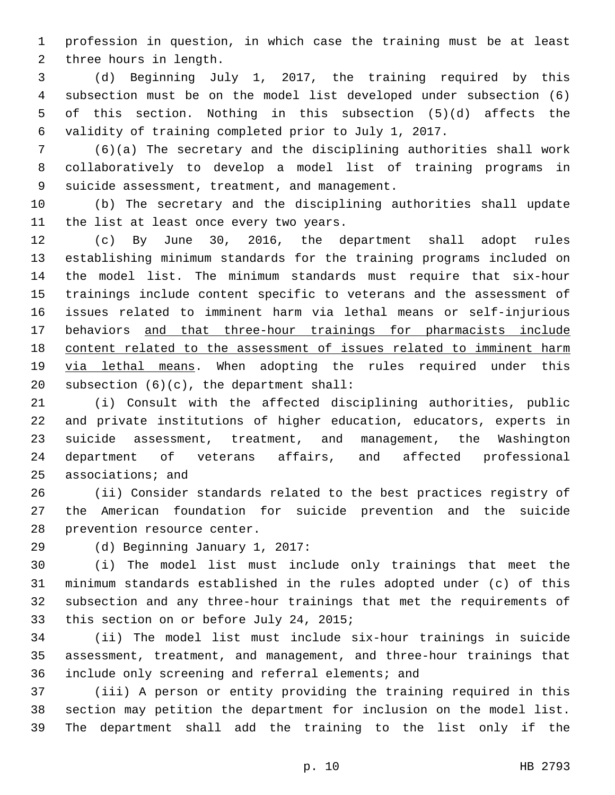profession in question, in which case the training must be at least 2 three hours in length.

 (d) Beginning July 1, 2017, the training required by this subsection must be on the model list developed under subsection (6) of this section. Nothing in this subsection (5)(d) affects the validity of training completed prior to July 1, 2017.

 (6)(a) The secretary and the disciplining authorities shall work collaboratively to develop a model list of training programs in 9 suicide assessment, treatment, and management.

 (b) The secretary and the disciplining authorities shall update 11 the list at least once every two years.

 (c) By June 30, 2016, the department shall adopt rules establishing minimum standards for the training programs included on the model list. The minimum standards must require that six-hour trainings include content specific to veterans and the assessment of issues related to imminent harm via lethal means or self-injurious behaviors and that three-hour trainings for pharmacists include content related to the assessment of issues related to imminent harm 19 via lethal means. When adopting the rules required under this 20 subsection  $(6)(c)$ , the department shall:

 (i) Consult with the affected disciplining authorities, public and private institutions of higher education, educators, experts in suicide assessment, treatment, and management, the Washington department of veterans affairs, and affected professional 25 associations; and

 (ii) Consider standards related to the best practices registry of the American foundation for suicide prevention and the suicide 28 prevention resource center.

29 (d) Beginning January 1, 2017:

 (i) The model list must include only trainings that meet the minimum standards established in the rules adopted under (c) of this subsection and any three-hour trainings that met the requirements of 33 this section on or before July 24, 2015;

 (ii) The model list must include six-hour trainings in suicide assessment, treatment, and management, and three-hour trainings that 36 include only screening and referral elements; and

 (iii) A person or entity providing the training required in this section may petition the department for inclusion on the model list. The department shall add the training to the list only if the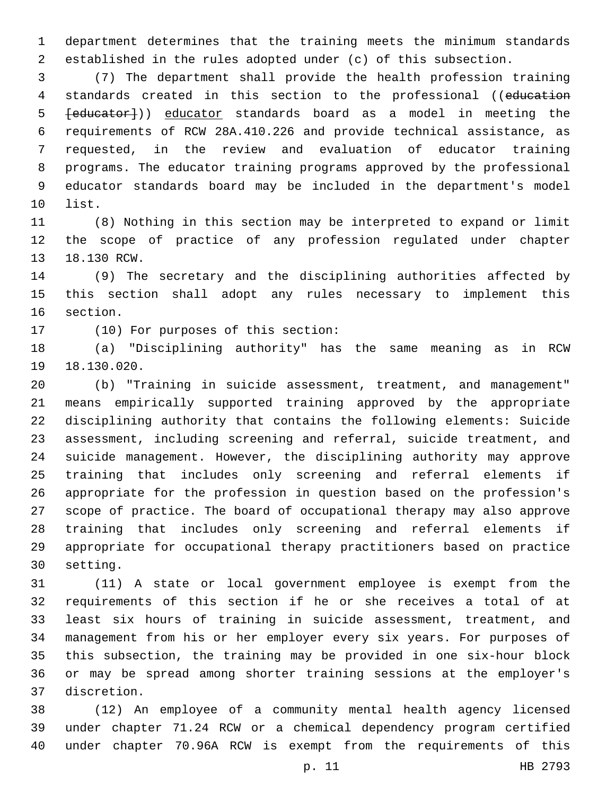department determines that the training meets the minimum standards established in the rules adopted under (c) of this subsection.

 (7) The department shall provide the health profession training standards created in this section to the professional ((education [educator])) educator standards board as a model in meeting the requirements of RCW 28A.410.226 and provide technical assistance, as requested, in the review and evaluation of educator training programs. The educator training programs approved by the professional educator standards board may be included in the department's model 10 list.

 (8) Nothing in this section may be interpreted to expand or limit the scope of practice of any profession regulated under chapter 13 18.130 RCW.

 (9) The secretary and the disciplining authorities affected by this section shall adopt any rules necessary to implement this 16 section.

17 (10) For purposes of this section:

 (a) "Disciplining authority" has the same meaning as in RCW 18.130.020.

 (b) "Training in suicide assessment, treatment, and management" means empirically supported training approved by the appropriate disciplining authority that contains the following elements: Suicide assessment, including screening and referral, suicide treatment, and suicide management. However, the disciplining authority may approve training that includes only screening and referral elements if appropriate for the profession in question based on the profession's scope of practice. The board of occupational therapy may also approve training that includes only screening and referral elements if appropriate for occupational therapy practitioners based on practice 30 setting.

 (11) A state or local government employee is exempt from the requirements of this section if he or she receives a total of at least six hours of training in suicide assessment, treatment, and management from his or her employer every six years. For purposes of this subsection, the training may be provided in one six-hour block or may be spread among shorter training sessions at the employer's discretion.37

 (12) An employee of a community mental health agency licensed under chapter 71.24 RCW or a chemical dependency program certified under chapter 70.96A RCW is exempt from the requirements of this